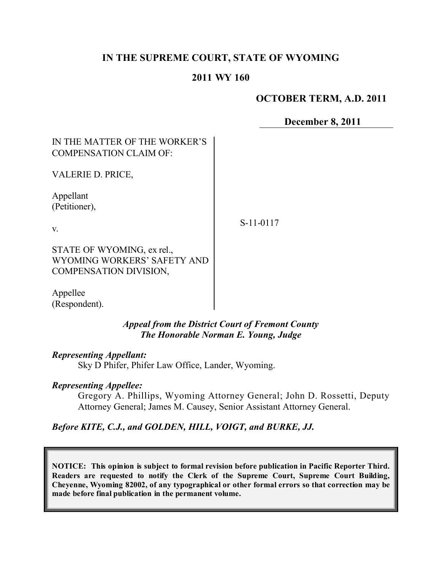# **IN THE SUPREME COURT, STATE OF WYOMING**

### **2011 WY 160**

# **OCTOBER TERM, A.D. 2011**

**December 8, 2011**

# IN THE MATTER OF THE WORKER'S COMPENSATION CLAIM OF:

VALERIE D. PRICE,

Appellant (Petitioner),

v.

S-11-0117

STATE OF WYOMING, ex rel., WYOMING WORKERS' SAFETY AND COMPENSATION DIVISION,

Appellee (Respondent).

> *Appeal from the District Court of Fremont County The Honorable Norman E. Young, Judge*

#### *Representing Appellant:*

Sky D Phifer, Phifer Law Office, Lander, Wyoming.

#### *Representing Appellee:*

Gregory A. Phillips, Wyoming Attorney General; John D. Rossetti, Deputy Attorney General; James M. Causey, Senior Assistant Attorney General.

*Before KITE, C.J., and GOLDEN, HILL, VOIGT, and BURKE, JJ.*

**NOTICE: This opinion is subject to formal revision before publication in Pacific Reporter Third. Readers are requested to notify the Clerk of the Supreme Court, Supreme Court Building, Cheyenne, Wyoming 82002, of any typographical or other formal errors so that correction may be made before final publication in the permanent volume.**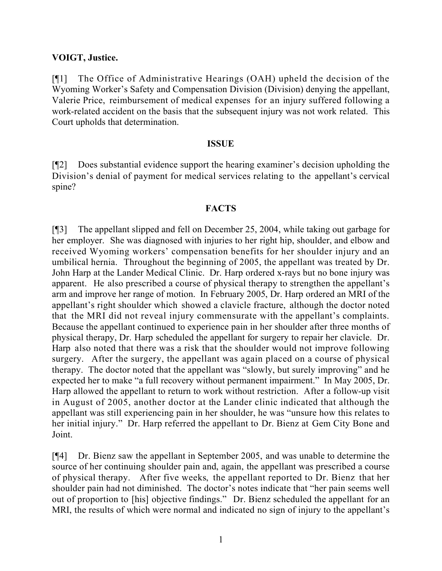### **VOIGT, Justice.**

[¶1] The Office of Administrative Hearings (OAH) upheld the decision of the Wyoming Worker's Safety and Compensation Division (Division) denying the appellant, Valerie Price, reimbursement of medical expenses for an injury suffered following a work-related accident on the basis that the subsequent injury was not work related. This Court upholds that determination.

#### **ISSUE**

[¶2] Does substantial evidence support the hearing examiner's decision upholding the Division's denial of payment for medical services relating to the appellant's cervical spine?

### **FACTS**

[¶3] The appellant slipped and fell on December 25, 2004, while taking out garbage for her employer. She was diagnosed with injuries to her right hip, shoulder, and elbow and received Wyoming workers' compensation benefits for her shoulder injury and an umbilical hernia. Throughout the beginning of 2005, the appellant was treated by Dr. John Harp at the Lander Medical Clinic. Dr. Harp ordered x-rays but no bone injury was apparent. He also prescribed a course of physical therapy to strengthen the appellant's arm and improve her range of motion. In February 2005, Dr. Harp ordered an MRI of the appellant's right shoulder which showed a clavicle fracture, although the doctor noted that the MRI did not reveal injury commensurate with the appellant's complaints. Because the appellant continued to experience pain in her shoulder after three months of physical therapy, Dr. Harp scheduled the appellant for surgery to repair her clavicle. Dr. Harp also noted that there was a risk that the shoulder would not improve following surgery. After the surgery, the appellant was again placed on a course of physical therapy. The doctor noted that the appellant was "slowly, but surely improving" and he expected her to make "a full recovery without permanent impairment." In May 2005, Dr. Harp allowed the appellant to return to work without restriction. After a follow-up visit in August of 2005, another doctor at the Lander clinic indicated that although the appellant was still experiencing pain in her shoulder, he was "unsure how this relates to her initial injury." Dr. Harp referred the appellant to Dr. Bienz at Gem City Bone and Joint.

[¶4] Dr. Bienz saw the appellant in September 2005, and was unable to determine the source of her continuing shoulder pain and, again, the appellant was prescribed a course of physical therapy. After five weeks, the appellant reported to Dr. Bienz that her shoulder pain had not diminished. The doctor's notes indicate that "her pain seems well out of proportion to [his] objective findings." Dr. Bienz scheduled the appellant for an MRI, the results of which were normal and indicated no sign of injury to the appellant's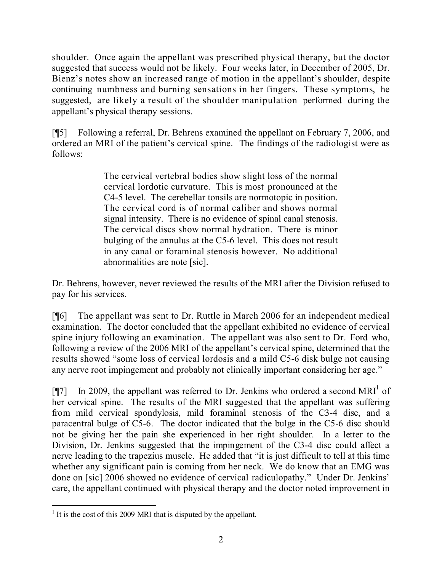shoulder. Once again the appellant was prescribed physical therapy, but the doctor suggested that success would not be likely. Four weeks later, in December of 2005, Dr. Bienz's notes show an increased range of motion in the appellant's shoulder, despite continuing numbness and burning sensations in her fingers. These symptoms, he suggested, are likely a result of the shoulder manipulation performed during the appellant's physical therapy sessions.

[¶5] Following a referral, Dr. Behrens examined the appellant on February 7, 2006, and ordered an MRI of the patient's cervical spine. The findings of the radiologist were as follows:

> The cervical vertebral bodies show slight loss of the normal cervical lordotic curvature. This is most pronounced at the C4-5 level. The cerebellar tonsils are normotopic in position. The cervical cord is of normal caliber and shows normal signal intensity. There is no evidence of spinal canal stenosis. The cervical discs show normal hydration. There is minor bulging of the annulus at the C5-6 level. This does not result in any canal or foraminal stenosis however. No additional abnormalities are note [sic].

Dr. Behrens, however, never reviewed the results of the MRI after the Division refused to pay for his services.

[¶6] The appellant was sent to Dr. Ruttle in March 2006 for an independent medical examination. The doctor concluded that the appellant exhibited no evidence of cervical spine injury following an examination. The appellant was also sent to Dr. Ford who, following a review of the 2006 MRI of the appellant's cervical spine, determined that the results showed "some loss of cervical lordosis and a mild C5-6 disk bulge not causing any nerve root impingement and probably not clinically important considering her age."

[ $\llbracket$ ] In 2009, the appellant was referred to Dr. Jenkins who ordered a second MRI<sup>1</sup> of her cervical spine. The results of the MRI suggested that the appellant was suffering from mild cervical spondylosis, mild foraminal stenosis of the C3-4 disc, and a paracentral bulge of C5-6. The doctor indicated that the bulge in the C5-6 disc should not be giving her the pain she experienced in her right shoulder. In a letter to the Division, Dr. Jenkins suggested that the impingement of the C3-4 disc could affect a nerve leading to the trapezius muscle. He added that "it is just difficult to tell at this time whether any significant pain is coming from her neck. We do know that an EMG was done on [sic] 2006 showed no evidence of cervical radiculopathy." Under Dr. Jenkins' care, the appellant continued with physical therapy and the doctor noted improvement in

<sup>&</sup>lt;sup>1</sup> It is the cost of this 2009 MRI that is disputed by the appellant.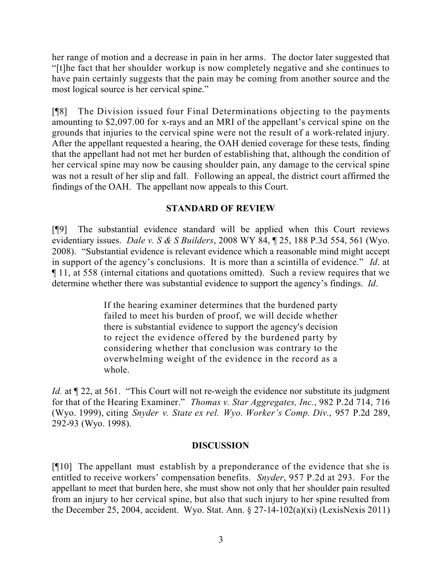her range of motion and a decrease in pain in her arms. The doctor later suggested that "[t]he fact that her shoulder workup is now completely negative and she continues to have pain certainly suggests that the pain may be coming from another source and the most logical source is her cervical spine."

[¶8] The Division issued four Final Determinations objecting to the payments amounting to \$2,097.00 for x-rays and an MRI of the appellant's cervical spine on the grounds that injuries to the cervical spine were not the result of a work-related injury. After the appellant requested a hearing, the OAH denied coverage for these tests, finding that the appellant had not met her burden of establishing that, although the condition of her cervical spine may now be causing shoulder pain, any damage to the cervical spine was not a result of her slip and fall. Following an appeal, the district court affirmed the findings of the OAH. The appellant now appeals to this Court.

# **STANDARD OF REVIEW**

[¶9] The substantial evidence standard will be applied when this Court reviews evidentiary issues. *Dale v. S & S Builders*, 2008 WY 84, ¶ 25, 188 P.3d 554, 561 (Wyo. 2008). "Substantial evidence is relevant evidence which a reasonable mind might accept in support of the agency's conclusions. It is more than a scintilla of evidence." *Id*. at ¶ 11, at 558 (internal citations and quotations omitted). Such a review requires that we determine whether there was substantial evidence to support the agency's findings. *Id*.

> If the hearing examiner determines that the burdened party failed to meet his burden of proof, we will decide whether there is substantial evidence to support the agency's decision to reject the evidence offered by the burdened party by considering whether that conclusion was contrary to the overwhelming weight of the evidence in the record as a whole.

*Id.* at  $\P$  22, at 561. "This Court will not re-weigh the evidence nor substitute its judgment for that of the Hearing Examiner." *Thomas v. Star Aggregates, Inc.*, 982 P.2d 714, 716 (Wyo. 1999), citing *Snyder v. State ex rel. Wyo. Worker's Comp. Div.*, 957 P.2d 289, 292-93 (Wyo. 1998).

# **DISCUSSION**

[¶10] The appellant must establish by a preponderance of the evidence that she is entitled to receive workers' compensation benefits. *Snyder*, 957 P.2d at 293. For the appellant to meet that burden here, she must show not only that her shoulder pain resulted from an injury to her cervical spine, but also that such injury to her spine resulted from the December 25, 2004, accident. Wyo. Stat. Ann.  $\S 27-14-102(a)(xi)$  (LexisNexis 2011)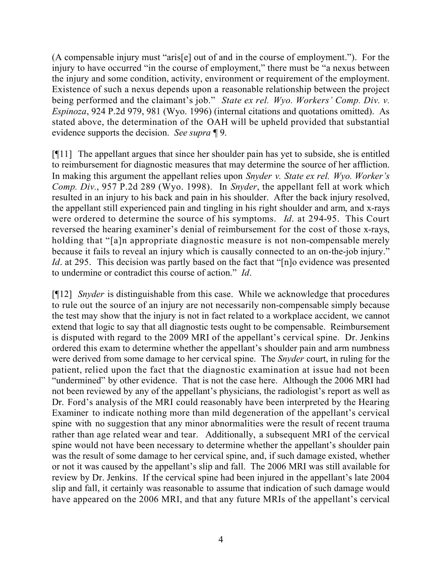(A compensable injury must "aris[e] out of and in the course of employment."). For the injury to have occurred "in the course of employment," there must be "a nexus between the injury and some condition, activity, environment or requirement of the employment. Existence of such a nexus depends upon a reasonable relationship between the project being performed and the claimant's job." *State ex rel. Wyo. Workers' Comp. Div. v. Espinoza*, 924 P.2d 979, 981 (Wyo. 1996) (internal citations and quotations omitted). As stated above, the determination of the OAH will be upheld provided that substantial evidence supports the decision. *See supra* ¶ 9.

[¶11] The appellant argues that since her shoulder pain has yet to subside, she is entitled to reimbursement for diagnostic measures that may determine the source of her affliction. In making this argument the appellant relies upon *Snyder v. State ex rel. Wyo. Worker's Comp. Div.*, 957 P.2d 289 (Wyo. 1998). In *Snyder*, the appellant fell at work which resulted in an injury to his back and pain in his shoulder. After the back injury resolved, the appellant still experienced pain and tingling in his right shoulder and arm, and x-rays were ordered to determine the source of his symptoms. *Id*. at 294-95. This Court reversed the hearing examiner's denial of reimbursement for the cost of those x-rays, holding that "[a]n appropriate diagnostic measure is not non-compensable merely because it fails to reveal an injury which is causally connected to an on-the-job injury." *Id*. at 295. This decision was partly based on the fact that "[n]o evidence was presented to undermine or contradict this course of action." *Id*.

[¶12] *Snyder* is distinguishable from this case. While we acknowledge that procedures to rule out the source of an injury are not necessarily non-compensable simply because the test may show that the injury is not in fact related to a workplace accident, we cannot extend that logic to say that all diagnostic tests ought to be compensable. Reimbursement is disputed with regard to the 2009 MRI of the appellant's cervical spine. Dr. Jenkins ordered this exam to determine whether the appellant's shoulder pain and arm numbness were derived from some damage to her cervical spine. The *Snyder* court, in ruling for the patient, relied upon the fact that the diagnostic examination at issue had not been "undermined" by other evidence. That is not the case here. Although the 2006 MRI had not been reviewed by any of the appellant's physicians, the radiologist's report as well as Dr. Ford's analysis of the MRI could reasonably have been interpreted by the Hearing Examiner to indicate nothing more than mild degeneration of the appellant's cervical spine with no suggestion that any minor abnormalities were the result of recent trauma rather than age related wear and tear. Additionally, a subsequent MRI of the cervical spine would not have been necessary to determine whether the appellant's shoulder pain was the result of some damage to her cervical spine, and, if such damage existed, whether or not it was caused by the appellant's slip and fall. The 2006 MRI was still available for review by Dr. Jenkins. If the cervical spine had been injured in the appellant's late 2004 slip and fall, it certainly was reasonable to assume that indication of such damage would have appeared on the 2006 MRI, and that any future MRIs of the appellant's cervical